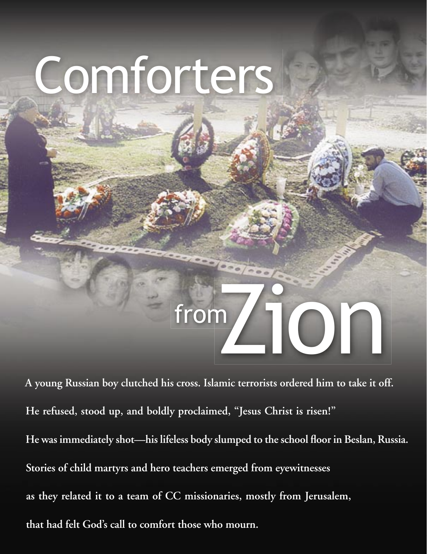## Comforters

## from **ION**

**A young Russian boy clutched his cross. Islamic terrorists ordered him to take it off. He refused, stood up, and boldly proclaimed, "Jesus Christ is risen!"**  He was immediately shot—his lifeless body slumped to the school floor in Beslan, Russia. **Stories of child martyrs and hero teachers emerged from eyewitnesses as they related it to a team of CC missionaries, mostly from Jerusalem, that had felt God's call to comfort those who mourn.**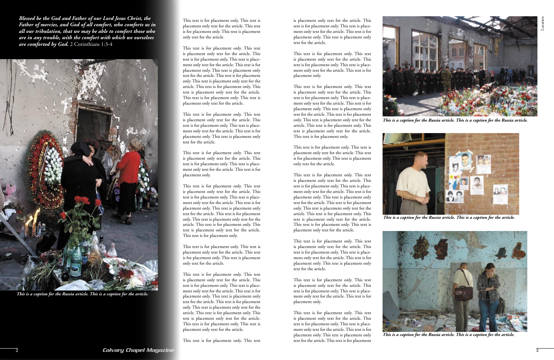

This text is for placement only. This text is placement only text for the article. This text is for placement only. This text is placement only text for the article.

This text is for placement only. This text is placement only text for the article. This text is for placement only. This text is placement only text for the article. This text is for placement only. This text is placement only text for the article. This text is for placement only. This text is placement only text for the article. This text is for placement only. This text is placement only text for the article. This text is for placement only. This text is placement only text for the article.

This text is for placement only. This text is placement only text for the article. This text is for placement only. This text is placement only text for the article. This text is for placement only. This text is placement only text for the article.

This text is for placement only. This text is placement only text for the article. This text is for placement only. This text is placement only text for the article. This text is for placement only.

This text is for placement only. This text is placement only text for the article. This text is for placement only. This text is placement only text for the article. This text is for placement only. This text is placement only text for the article. This text is for placement only. This text is placement only text for the article. This text is for placement only. This text is placement only text for the article. This text is for placement only.

This text is for placement only. This text is placement only text for the article. This text is for placement only. This text is placement only text for the article.

This text is for placement only. This text is placement only text for the article. This text is for placement only. This text is placement only text for the article. This text is for placement only. This text is placement only text for the article. This text is for placement only. This text is placement only text for the article. This text is for placement only. This text is placement only text for the article. This text is for placement only. This text is placement only text for the article.

This text is for placement only. This text

is placement only text for the article. This text is for placement only. This text is placement only text for the article. This text is for placement only. This text is placement only text for the article.

This text is for placement only. This text is placement only text for the article. This text is for placement only. This text is placement only text for the article. This text is for placement only.

This text is for placement only. This text is placement only text for the article. This text is for placement only. This text is placement only text for the article. This text is for placement only. This text is placement only text for the article. This text is for placement only. This text is placement only text for the article. This text is for placement only. This text is placement only text for the article. This text is for placement only.

This text is for placement only. This text is placement only text for the article. This text is for placement only. This text is placement only text for the article.

This text is for placement only. This text is placement only text for the article. This text is for placement only. This text is placement only text for the article. This text is for placement only. This text is placement only text for the article. This text is for placement only. This text is placement only text for the article. This text is for placement only. This text is placement only text for the article. This text is for placement only. This text is placement only text for the article.

This text is for placement only. This text is placement only text for the article. This text is for placement only. This text is placement only text for the article. This text is for placement only. This text is placement only text for the article.

This text is for placement only. This text is placement only text for the article. This text is for placement only. This text is placement only text for the article. This text is for placement only.

This text is for placement only. This text is placement only text for the article. This text is for placement only. This text is placement only text for the article. This text is for placement only. This text is placement only text for the article. This text is for placement

*Blessed be the God and Father of our Lord Jesus Christ, the Father of mercies, and God of all comfort, who comforts us in all our tribulation, that we may be able to comfort those who are in any trouble, with the comfort with which we ourselves are comforted by God.* 2 Corinthians 1:3-4



*This is a caption for the Russia article. This is a caption for the Russia article.* 



*This is a caption for the Russia article. This is a caption for the article.* 



*This is a caption for the Russia article. This is a caption for the article.* 



*This is a caption for the Russia article. This is a caption for the article.*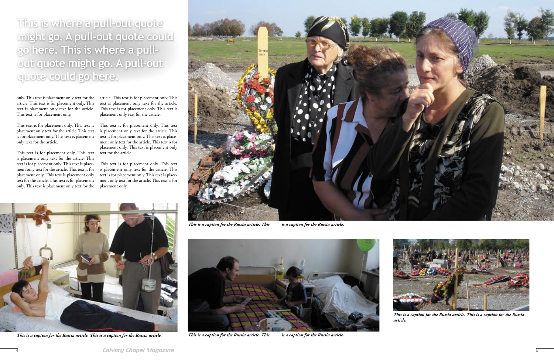

*This is a caption for the Russia article. This* is a caption for the Russia article.

only. This text is placement only text for the article. This text is for placement only. This text is placement only text for the article. This text is for placement only.

This text is for placement only. This text is This text is for placement only. This text placement only text for the article. This text is for placement only. This text is placement only text for the article.

This text is for placement only. This text is placement only text for the article. This text is for placement only. This text is placement only text for the article. This text is for placement only. This text is placement only only. This text is placement only text for the

article. This text is for placement only. This text is placement only text for the article. This text is for placement only. This text is placement only text for the article.

text for the article. This text is for placement ment only text for the article. This text is for This text is for placement only. This text is placement only text for the article. This text is for placement only. This text is placeplacement only.

is placement only text for the article. This text is for placement only. This text is placement only text for the article. This text is for placement only. This text is placement only text for the article.



*This is a caption for the Russia article. This is a caption for the Russia* 



*article.* 



*This is a caption for the Russia article. This is a caption for the Russia article.* 



*This is a caption for the Russia article. This* is a caption for the Russia article.

**This is where a pull-out quote might go. A pull-out quote could go here. This is where a pullout quote might go. A pull-out quote could go here.**